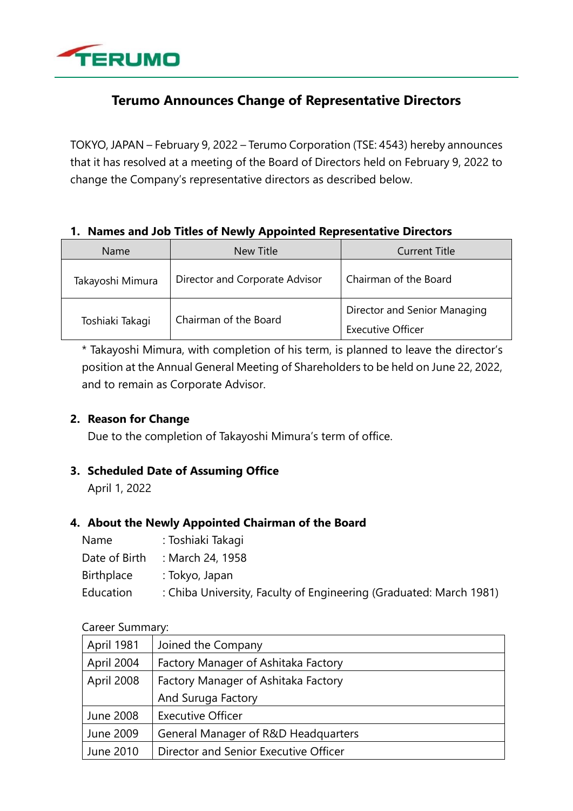

# **Terumo Announces Change of Representative Directors**

TOKYO, JAPAN – February 9, 2022 – Terumo Corporation (TSE: 4543) hereby announces that it has resolved at a meeting of the Board of Directors held on February 9, 2022 to change the Company's representative directors as described below.

## **1. Names and Job Titles of Newly Appointed Representative Directors**

| Name             | <b>New Title</b>               | <b>Current Title</b>                              |
|------------------|--------------------------------|---------------------------------------------------|
| Takayoshi Mimura | Director and Corporate Advisor | Chairman of the Board                             |
| Toshiaki Takagi  | Chairman of the Board          | Director and Senior Managing<br>Executive Officer |

\* Takayoshi Mimura, with completion of his term, is planned to leave the director's position at the Annual General Meeting of Shareholders to be held on June 22, 2022, and to remain as Corporate Advisor.

## **2. Reason for Change**

Due to the completion of Takayoshi Mimura's term of office.

## **3. Scheduled Date of Assuming Office**

April 1, 2022

## **4. About the Newly Appointed Chairman of the Board**

| Name          | : Toshiaki Takagi                                                  |
|---------------|--------------------------------------------------------------------|
| Date of Birth | : March 24, 1958                                                   |
| Birthplace    | : Tokyo, Japan                                                     |
| Education     | : Chiba University, Faculty of Engineering (Graduated: March 1981) |

## Career Summary:

| April 1981       | Joined the Company                    |
|------------------|---------------------------------------|
| April 2004       | Factory Manager of Ashitaka Factory   |
| April 2008       | Factory Manager of Ashitaka Factory   |
|                  | And Suruga Factory                    |
| <b>June 2008</b> | <b>Executive Officer</b>              |
| June 2009        | General Manager of R&D Headquarters   |
| June 2010        | Director and Senior Executive Officer |